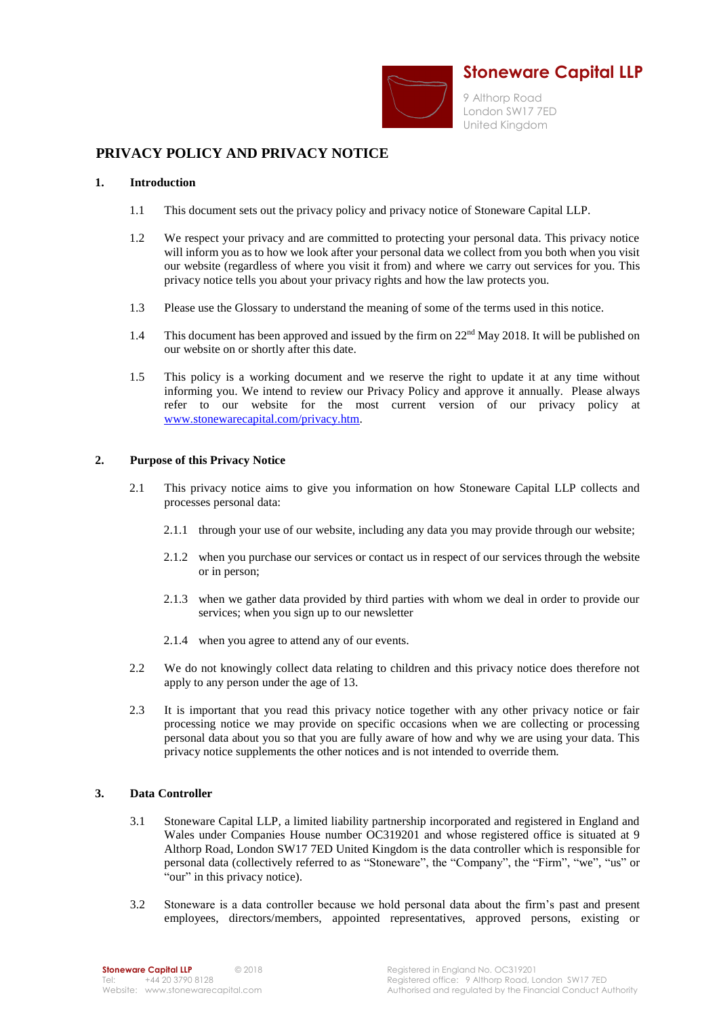

# **PRIVACY POLICY AND PRIVACY NOTICE**

#### **1. Introduction**

- 1.1 This document sets out the privacy policy and privacy notice of Stoneware Capital LLP.
- 1.2 We respect your privacy and are committed to protecting your personal data. This privacy notice will inform you as to how we look after your personal data we collect from you both when you visit our website (regardless of where you visit it from) and where we carry out services for you. This privacy notice tells you about your privacy rights and how the law protects you.
- 1.3 Please use the Glossary to understand the meaning of some of the terms used in this notice.
- 1.4 This document has been approved and issued by the firm on 22<sup>nd</sup> May 2018. It will be published on our website on or shortly after this date.
- 1.5 This policy is a working document and we reserve the right to update it at any time without informing you. We intend to review our Privacy Policy and approve it annually. Please always refer to our website for the most current version of our privacy policy at [www.stonewarecapital.com/privacy.htm.](http://www.stonewarecapital.com/privacy.htm)

# **2. Purpose of this Privacy Notice**

- 2.1 This privacy notice aims to give you information on how Stoneware Capital LLP collects and processes personal data:
	- 2.1.1 through your use of our website, including any data you may provide through our website;
	- 2.1.2 when you purchase our services or contact us in respect of our services through the website or in person;
	- 2.1.3 when we gather data provided by third parties with whom we deal in order to provide our services; when you sign up to our newsletter
	- 2.1.4 when you agree to attend any of our events.
- 2.2 We do not knowingly collect data relating to children and this privacy notice does therefore not apply to any person under the age of 13.
- 2.3 It is important that you read this privacy notice together with any other privacy notice or fair processing notice we may provide on specific occasions when we are collecting or processing personal data about you so that you are fully aware of how and why we are using your data. This privacy notice supplements the other notices and is not intended to override them.

# **3. Data Controller**

- 3.1 Stoneware Capital LLP, a limited liability partnership incorporated and registered in England and Wales under Companies House number OC319201 and whose registered office is situated at 9 Althorp Road, London SW17 7ED United Kingdom is the data controller which is responsible for personal data (collectively referred to as "Stoneware", the "Company", the "Firm", "we", "us" or "our" in this privacy notice).
- 3.2 Stoneware is a data controller because we hold personal data about the firm's past and present employees, directors/members, appointed representatives, approved persons, existing or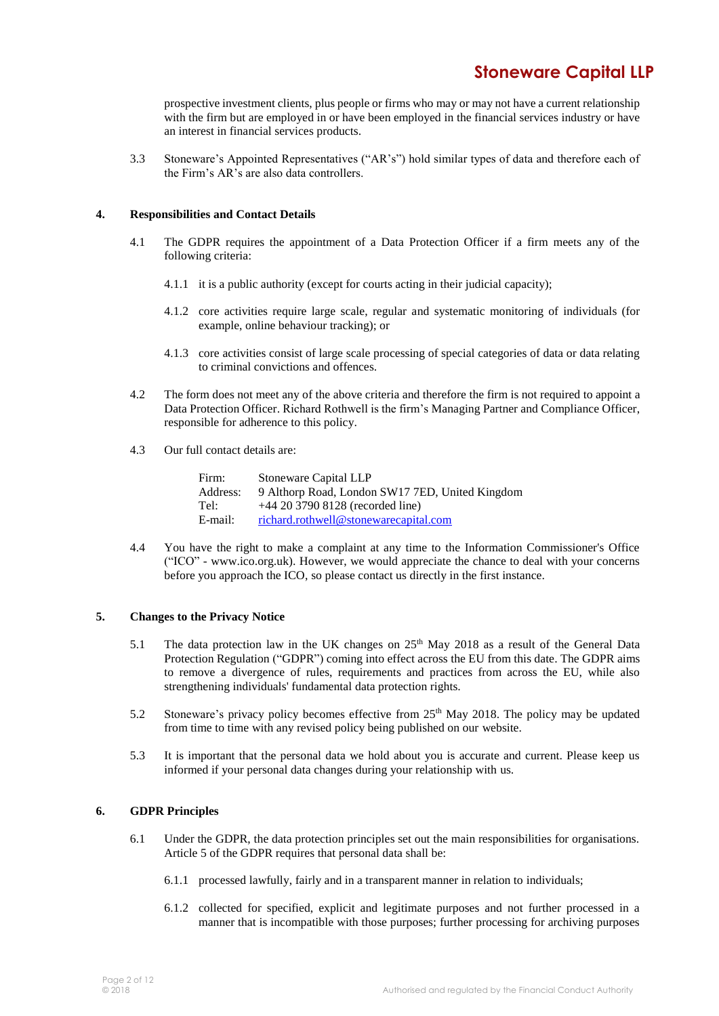# **Stoneware Capital LLP**

prospective investment clients, plus people or firms who may or may not have a current relationship with the firm but are employed in or have been employed in the financial services industry or have an interest in financial services products.

3.3 Stoneware's Appointed Representatives ("AR's") hold similar types of data and therefore each of the Firm's AR's are also data controllers.

# **4. Responsibilities and Contact Details**

- 4.1 The GDPR requires the appointment of a Data Protection Officer if a firm meets any of the following criteria:
	- 4.1.1 it is a public authority (except for courts acting in their judicial capacity);
	- 4.1.2 core activities require large scale, regular and systematic monitoring of individuals (for example, online behaviour tracking); or
	- 4.1.3 core activities consist of large scale processing of special categories of data or data relating to criminal convictions and offences.
- 4.2 The form does not meet any of the above criteria and therefore the firm is not required to appoint a Data Protection Officer. Richard Rothwell is the firm's Managing Partner and Compliance Officer, responsible for adherence to this policy.
- 4.3 Our full contact details are:

| Firm:    | Stoneware Capital LLP                           |
|----------|-------------------------------------------------|
| Address: | 9 Althorp Road, London SW17 7ED, United Kingdom |
| Tel:     | $+44$ 20 3790 8128 (recorded line)              |
| E-mail:  | richard.rothwell@stonewarecapital.com           |

4.4 You have the right to make a complaint at any time to the Information Commissioner's Office ("ICO" - www.ico.org.uk). However, we would appreciate the chance to deal with your concerns before you approach the ICO, so please contact us directly in the first instance.

# **5. Changes to the Privacy Notice**

- 5.1 The data protection law in the UK changes on 25<sup>th</sup> May 2018 as a result of the General Data Protection Regulation ("GDPR") coming into effect across the EU from this date. The GDPR aims to remove a divergence of rules, requirements and practices from across the EU, while also strengthening individuals' fundamental data protection rights.
- 5.2 Stoneware's privacy policy becomes effective from  $25<sup>th</sup>$  May 2018. The policy may be updated from time to time with any revised policy being published on our website.
- 5.3 It is important that the personal data we hold about you is accurate and current. Please keep us informed if your personal data changes during your relationship with us.

# **6. GDPR Principles**

- 6.1 Under the GDPR, the data protection principles set out the main responsibilities for organisations. Article 5 of the GDPR requires that personal data shall be:
	- 6.1.1 processed lawfully, fairly and in a transparent manner in relation to individuals;
	- 6.1.2 collected for specified, explicit and legitimate purposes and not further processed in a manner that is incompatible with those purposes; further processing for archiving purposes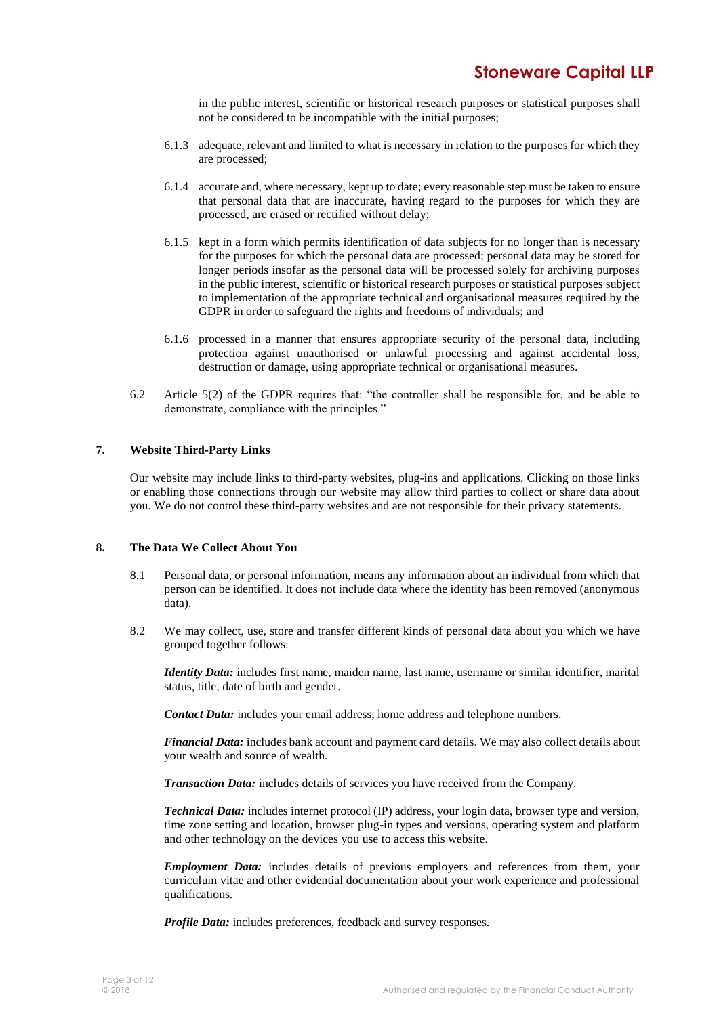in the public interest, scientific or historical research purposes or statistical purposes shall not be considered to be incompatible with the initial purposes;

- 6.1.3 adequate, relevant and limited to what is necessary in relation to the purposes for which they are processed;
- 6.1.4 accurate and, where necessary, kept up to date; every reasonable step must be taken to ensure that personal data that are inaccurate, having regard to the purposes for which they are processed, are erased or rectified without delay;
- 6.1.5 kept in a form which permits identification of data subjects for no longer than is necessary for the purposes for which the personal data are processed; personal data may be stored for longer periods insofar as the personal data will be processed solely for archiving purposes in the public interest, scientific or historical research purposes or statistical purposes subject to implementation of the appropriate technical and organisational measures required by the GDPR in order to safeguard the rights and freedoms of individuals; and
- 6.1.6 processed in a manner that ensures appropriate security of the personal data, including protection against unauthorised or unlawful processing and against accidental loss, destruction or damage, using appropriate technical or organisational measures.
- 6.2 Article 5(2) of the GDPR requires that: "the controller shall be responsible for, and be able to demonstrate, compliance with the principles."

# **7. Website Third-Party Links**

Our website may include links to third-party websites, plug-ins and applications. Clicking on those links or enabling those connections through our website may allow third parties to collect or share data about you. We do not control these third-party websites and are not responsible for their privacy statements.

# **8. The Data We Collect About You**

- 8.1 Personal data, or personal information, means any information about an individual from which that person can be identified. It does not include data where the identity has been removed (anonymous data).
- 8.2 We may collect, use, store and transfer different kinds of personal data about you which we have grouped together follows:

*Identity Data:* includes first name, maiden name, last name, username or similar identifier, marital status, title, date of birth and gender.

*Contact Data:* includes your email address, home address and telephone numbers.

*Financial Data:* includes bank account and payment card details. We may also collect details about your wealth and source of wealth.

*Transaction Data:* includes details of services you have received from the Company.

*Technical Data:* includes internet protocol (IP) address, your login data, browser type and version, time zone setting and location, browser plug-in types and versions, operating system and platform and other technology on the devices you use to access this website.

*Employment Data:* includes details of previous employers and references from them, your curriculum vitae and other evidential documentation about your work experience and professional qualifications.

*Profile Data:* includes preferences, feedback and survey responses.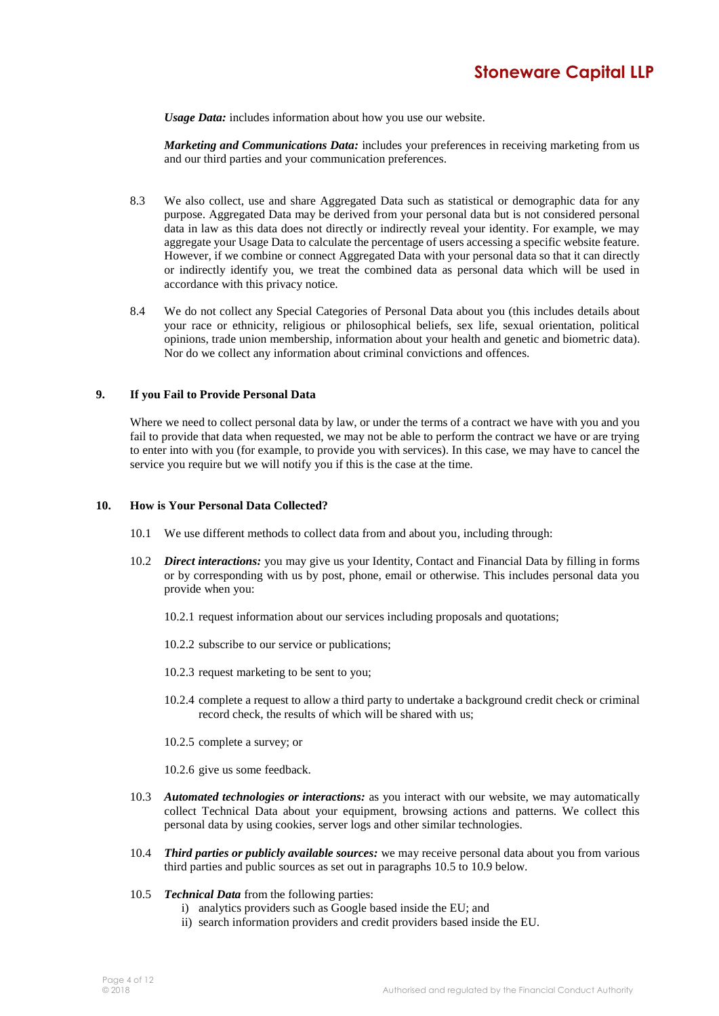*Usage Data:* includes information about how you use our website.

*Marketing and Communications Data:* includes your preferences in receiving marketing from us and our third parties and your communication preferences.

- 8.3 We also collect, use and share Aggregated Data such as statistical or demographic data for any purpose. Aggregated Data may be derived from your personal data but is not considered personal data in law as this data does not directly or indirectly reveal your identity. For example, we may aggregate your Usage Data to calculate the percentage of users accessing a specific website feature. However, if we combine or connect Aggregated Data with your personal data so that it can directly or indirectly identify you, we treat the combined data as personal data which will be used in accordance with this privacy notice.
- 8.4 We do not collect any Special Categories of Personal Data about you (this includes details about your race or ethnicity, religious or philosophical beliefs, sex life, sexual orientation, political opinions, trade union membership, information about your health and genetic and biometric data). Nor do we collect any information about criminal convictions and offences.

#### **9. If you Fail to Provide Personal Data**

Where we need to collect personal data by law, or under the terms of a contract we have with you and you fail to provide that data when requested, we may not be able to perform the contract we have or are trying to enter into with you (for example, to provide you with services). In this case, we may have to cancel the service you require but we will notify you if this is the case at the time.

#### **10. How is Your Personal Data Collected?**

- 10.1 We use different methods to collect data from and about you, including through:
- 10.2 *Direct interactions:* you may give us your Identity, Contact and Financial Data by filling in forms or by corresponding with us by post, phone, email or otherwise. This includes personal data you provide when you:
	- 10.2.1 request information about our services including proposals and quotations;
	- 10.2.2 subscribe to our service or publications;
	- 10.2.3 request marketing to be sent to you;
	- 10.2.4 complete a request to allow a third party to undertake a background credit check or criminal record check, the results of which will be shared with us;
	- 10.2.5 complete a survey; or
	- 10.2.6 give us some feedback.
- 10.3 *Automated technologies or interactions:* as you interact with our website, we may automatically collect Technical Data about your equipment, browsing actions and patterns. We collect this personal data by using cookies, server logs and other similar technologies.
- 10.4 *Third parties or publicly available sources:* we may receive personal data about you from various third parties and public sources as set out in paragraphs 10.5 to 10.9 below.
- 10.5 *Technical Data* from the following parties:
	- i) analytics providers such as Google based inside the EU; and
	- ii) search information providers and credit providers based inside the EU.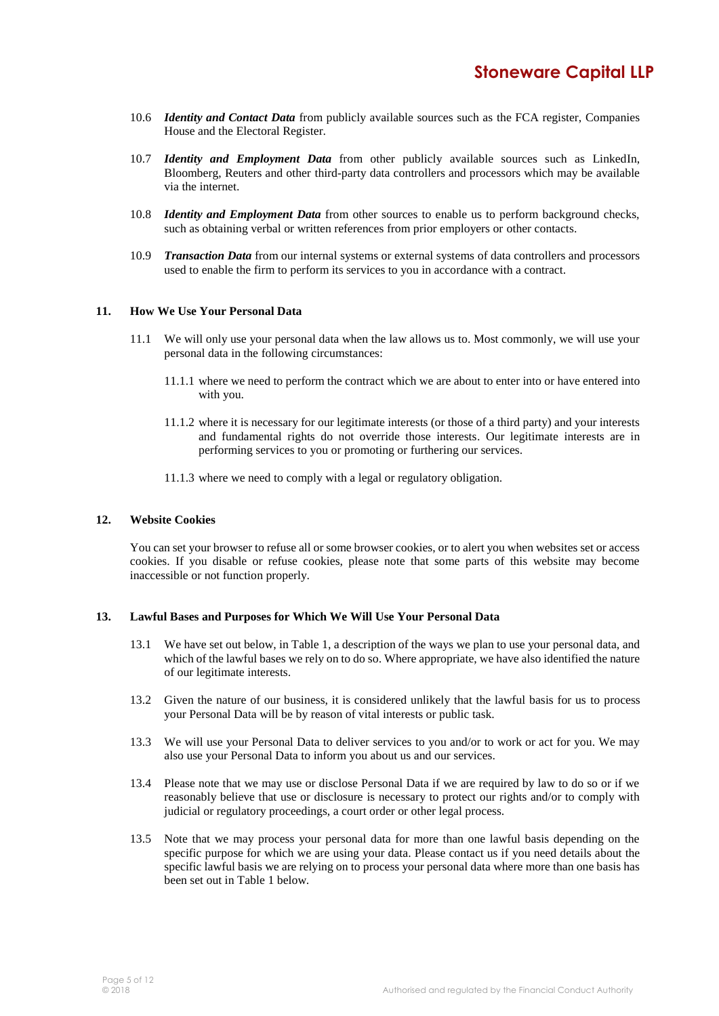- 10.6 *Identity and Contact Data* from publicly available sources such as the FCA register, Companies House and the Electoral Register.
- 10.7 *Identity and Employment Data* from other publicly available sources such as LinkedIn, Bloomberg, Reuters and other third-party data controllers and processors which may be available via the internet.
- 10.8 *Identity and Employment Data* from other sources to enable us to perform background checks, such as obtaining verbal or written references from prior employers or other contacts.
- 10.9 *Transaction Data* from our internal systems or external systems of data controllers and processors used to enable the firm to perform its services to you in accordance with a contract.

#### **11. How We Use Your Personal Data**

- 11.1 We will only use your personal data when the law allows us to. Most commonly, we will use your personal data in the following circumstances:
	- 11.1.1 where we need to perform the contract which we are about to enter into or have entered into with you.
	- 11.1.2 where it is necessary for our legitimate interests (or those of a third party) and your interests and fundamental rights do not override those interests. Our legitimate interests are in performing services to you or promoting or furthering our services.
	- 11.1.3 where we need to comply with a legal or regulatory obligation.

#### **12. Website Cookies**

You can set your browser to refuse all or some browser cookies, or to alert you when websites set or access cookies. If you disable or refuse cookies, please note that some parts of this website may become inaccessible or not function properly.

#### **13. Lawful Bases and Purposes for Which We Will Use Your Personal Data**

- 13.1 We have set out below, in Table 1, a description of the ways we plan to use your personal data, and which of the lawful bases we rely on to do so. Where appropriate, we have also identified the nature of our legitimate interests.
- 13.2 Given the nature of our business, it is considered unlikely that the lawful basis for us to process your Personal Data will be by reason of vital interests or public task.
- 13.3 We will use your Personal Data to deliver services to you and/or to work or act for you. We may also use your Personal Data to inform you about us and our services.
- 13.4 Please note that we may use or disclose Personal Data if we are required by law to do so or if we reasonably believe that use or disclosure is necessary to protect our rights and/or to comply with judicial or regulatory proceedings, a court order or other legal process.
- 13.5 Note that we may process your personal data for more than one lawful basis depending on the specific purpose for which we are using your data. Please contact us if you need details about the specific lawful basis we are relying on to process your personal data where more than one basis has been set out in Table 1 below.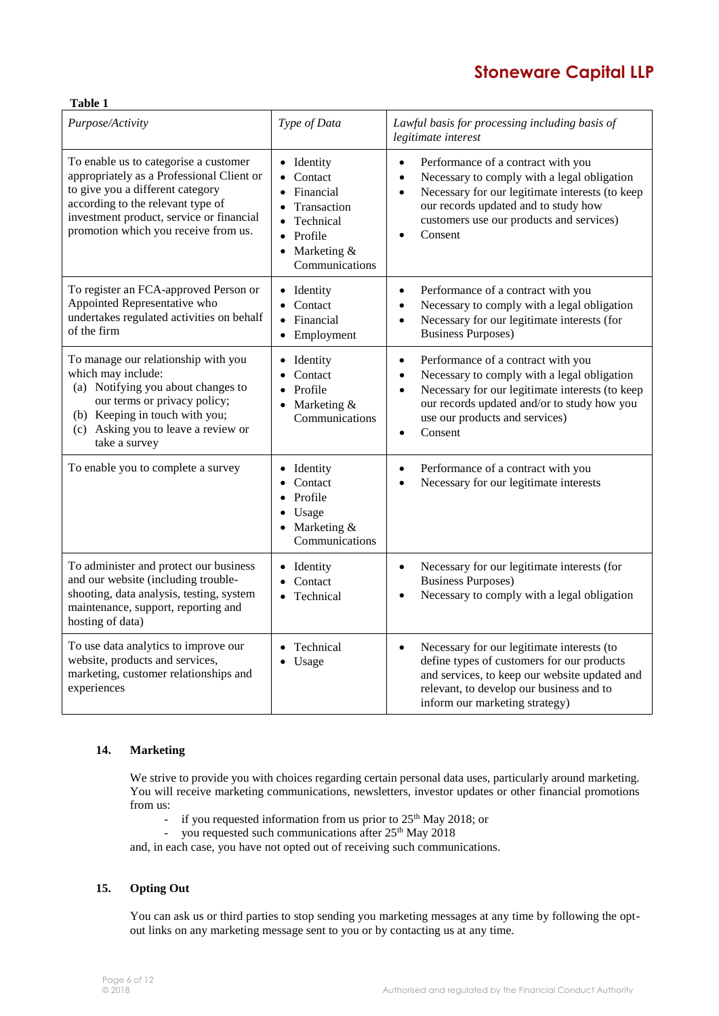# **Stoneware Capital LLP**

| Purpose/Activity                                                                                                                                                                                                                                | Type of Data                                                                                                                                    | Lawful basis for processing including basis of<br>legitimate interest                                                                                                                                                                                                                   |
|-------------------------------------------------------------------------------------------------------------------------------------------------------------------------------------------------------------------------------------------------|-------------------------------------------------------------------------------------------------------------------------------------------------|-----------------------------------------------------------------------------------------------------------------------------------------------------------------------------------------------------------------------------------------------------------------------------------------|
| To enable us to categorise a customer<br>appropriately as a Professional Client or<br>to give you a different category<br>according to the relevant type of<br>investment product, service or financial<br>promotion which you receive from us. | Identity<br>Contact<br>Financial<br>Transaction<br>Technical<br>$\bullet$<br>Profile<br>$\bullet$<br>Marketing &<br>$\bullet$<br>Communications | Performance of a contract with you<br>$\bullet$<br>Necessary to comply with a legal obligation<br>$\bullet$<br>Necessary for our legitimate interests (to keep<br>$\bullet$<br>our records updated and to study how<br>customers use our products and services)<br>Consent<br>$\bullet$ |
| To register an FCA-approved Person or<br>Appointed Representative who<br>undertakes regulated activities on behalf<br>of the firm                                                                                                               | Identity<br>Contact<br>Financial<br>Employment<br>$\bullet$                                                                                     | Performance of a contract with you<br>$\bullet$<br>Necessary to comply with a legal obligation<br>$\bullet$<br>Necessary for our legitimate interests (for<br>$\bullet$<br><b>Business Purposes)</b>                                                                                    |
| To manage our relationship with you<br>which may include:<br>(a) Notifying you about changes to<br>our terms or privacy policy;<br>(b) Keeping in touch with you;<br>(c) Asking you to leave a review or<br>take a survey                       | Identity<br>٠<br>Contact<br>Profile<br>$\bullet$<br>Marketing &<br>$\bullet$<br>Communications                                                  | Performance of a contract with you<br>$\bullet$<br>Necessary to comply with a legal obligation<br>$\bullet$<br>Necessary for our legitimate interests (to keep<br>$\bullet$<br>our records updated and/or to study how you<br>use our products and services)<br>Consent                 |
| To enable you to complete a survey                                                                                                                                                                                                              | Identity<br>Contact<br>Profile<br>Usage<br>Marketing &<br>Communications                                                                        | Performance of a contract with you<br>$\bullet$<br>Necessary for our legitimate interests<br>$\bullet$                                                                                                                                                                                  |
| To administer and protect our business<br>and our website (including trouble-<br>shooting, data analysis, testing, system<br>maintenance, support, reporting and<br>hosting of data)                                                            | Identity<br>Contact<br>Technical<br>$\bullet$                                                                                                   | Necessary for our legitimate interests (for<br>$\bullet$<br><b>Business Purposes)</b><br>Necessary to comply with a legal obligation<br>$\bullet$                                                                                                                                       |
| To use data analytics to improve our<br>website, products and services,<br>marketing, customer relationships and<br>experiences                                                                                                                 | Technical<br>$\bullet$<br>Usage                                                                                                                 | Necessary for our legitimate interests (to<br>$\bullet$<br>define types of customers for our products<br>and services, to keep our website updated and<br>relevant, to develop our business and to<br>inform our marketing strategy)                                                    |

# **14. Marketing**

**Table 1**

We strive to provide you with choices regarding certain personal data uses, particularly around marketing. You will receive marketing communications, newsletters, investor updates or other financial promotions from us:

- if you requested information from us prior to  $25<sup>th</sup>$  May 2018; or
- you requested such communications after  $25<sup>th</sup>$  May  $2018$

and, in each case, you have not opted out of receiving such communications.

# **15. Opting Out**

You can ask us or third parties to stop sending you marketing messages at any time by following the optout links on any marketing message sent to you or by contacting us at any time.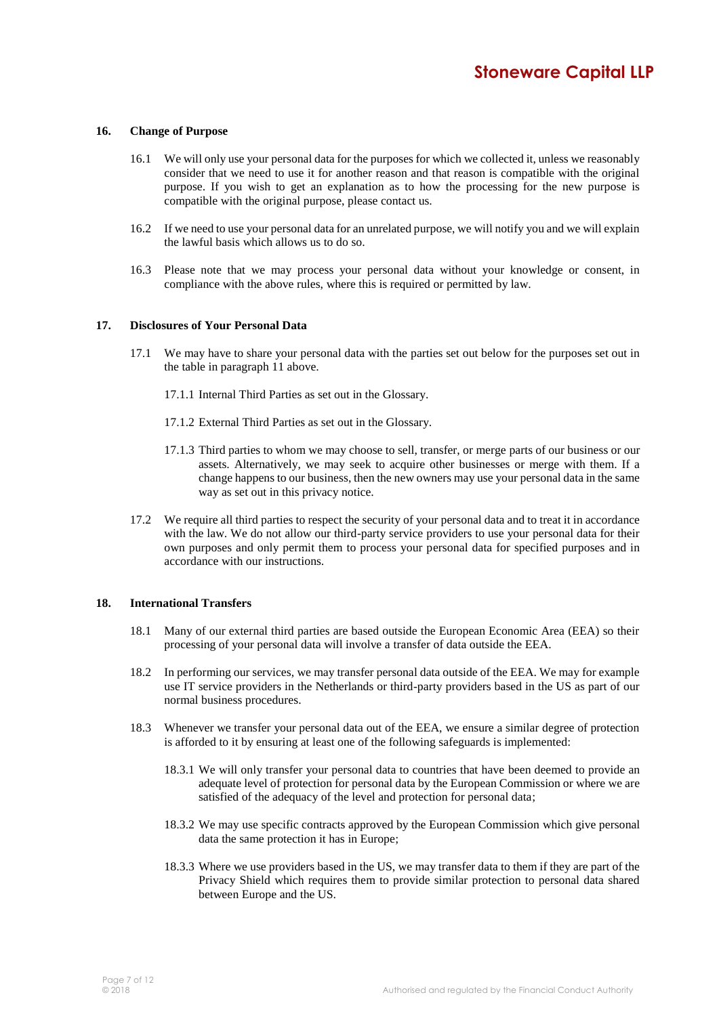#### **16. Change of Purpose**

- 16.1 We will only use your personal data for the purposes for which we collected it, unless we reasonably consider that we need to use it for another reason and that reason is compatible with the original purpose. If you wish to get an explanation as to how the processing for the new purpose is compatible with the original purpose, please contact us.
- 16.2 If we need to use your personal data for an unrelated purpose, we will notify you and we will explain the lawful basis which allows us to do so.
- 16.3 Please note that we may process your personal data without your knowledge or consent, in compliance with the above rules, where this is required or permitted by law.

#### **17. Disclosures of Your Personal Data**

- 17.1 We may have to share your personal data with the parties set out below for the purposes set out in the table in paragraph 11 above.
	- 17.1.1 Internal Third Parties as set out in the Glossary.
	- 17.1.2 External Third Parties as set out in the Glossary.
	- 17.1.3 Third parties to whom we may choose to sell, transfer, or merge parts of our business or our assets. Alternatively, we may seek to acquire other businesses or merge with them. If a change happens to our business, then the new owners may use your personal data in the same way as set out in this privacy notice.
- 17.2 We require all third parties to respect the security of your personal data and to treat it in accordance with the law. We do not allow our third-party service providers to use your personal data for their own purposes and only permit them to process your personal data for specified purposes and in accordance with our instructions.

#### **18. International Transfers**

- 18.1 Many of our external third parties are based outside the European Economic Area (EEA) so their processing of your personal data will involve a transfer of data outside the EEA.
- 18.2 In performing our services, we may transfer personal data outside of the EEA. We may for example use IT service providers in the Netherlands or third-party providers based in the US as part of our normal business procedures.
- 18.3 Whenever we transfer your personal data out of the EEA, we ensure a similar degree of protection is afforded to it by ensuring at least one of the following safeguards is implemented:
	- 18.3.1 We will only transfer your personal data to countries that have been deemed to provide an adequate level of protection for personal data by the European Commission or where we are satisfied of the adequacy of the level and protection for personal data;
	- 18.3.2 We may use specific contracts approved by the European Commission which give personal data the same protection it has in Europe;
	- 18.3.3 Where we use providers based in the US, we may transfer data to them if they are part of the Privacy Shield which requires them to provide similar protection to personal data shared between Europe and the US.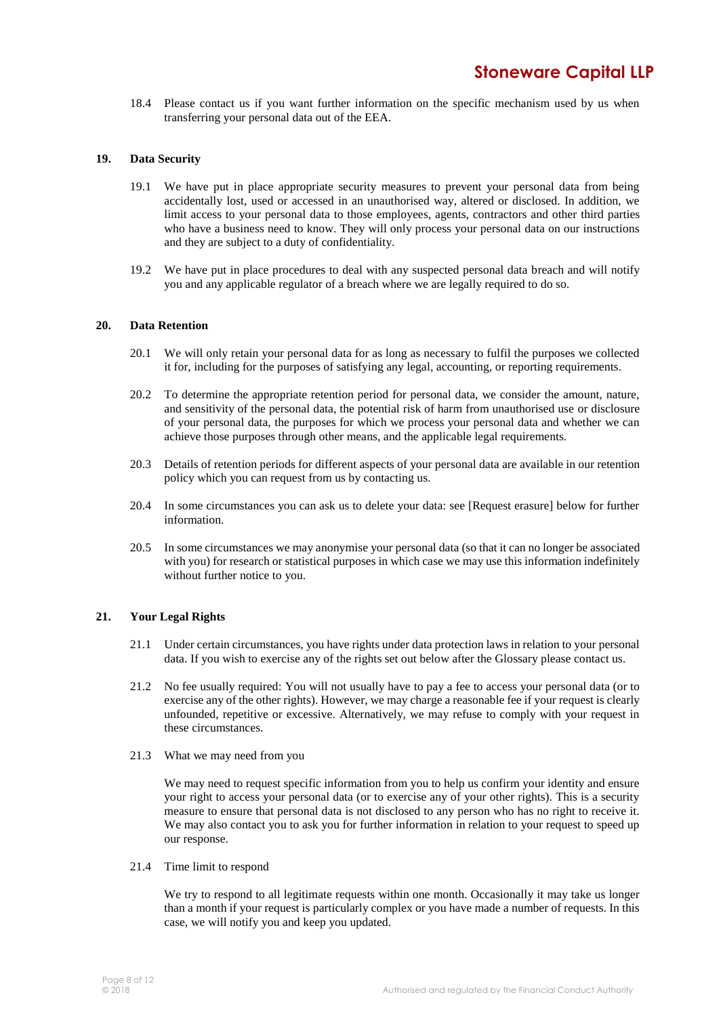18.4 Please contact us if you want further information on the specific mechanism used by us when transferring your personal data out of the EEA.

#### **19. Data Security**

- 19.1 We have put in place appropriate security measures to prevent your personal data from being accidentally lost, used or accessed in an unauthorised way, altered or disclosed. In addition, we limit access to your personal data to those employees, agents, contractors and other third parties who have a business need to know. They will only process your personal data on our instructions and they are subject to a duty of confidentiality.
- 19.2 We have put in place procedures to deal with any suspected personal data breach and will notify you and any applicable regulator of a breach where we are legally required to do so.

#### **20. Data Retention**

- 20.1 We will only retain your personal data for as long as necessary to fulfil the purposes we collected it for, including for the purposes of satisfying any legal, accounting, or reporting requirements.
- 20.2 To determine the appropriate retention period for personal data, we consider the amount, nature, and sensitivity of the personal data, the potential risk of harm from unauthorised use or disclosure of your personal data, the purposes for which we process your personal data and whether we can achieve those purposes through other means, and the applicable legal requirements.
- 20.3 Details of retention periods for different aspects of your personal data are available in our retention policy which you can request from us by contacting us.
- 20.4 In some circumstances you can ask us to delete your data: see [Request erasure] below for further information.
- 20.5 In some circumstances we may anonymise your personal data (so that it can no longer be associated with you) for research or statistical purposes in which case we may use this information indefinitely without further notice to you.

#### **21. Your Legal Rights**

- 21.1 Under certain circumstances, you have rights under data protection laws in relation to your personal data. If you wish to exercise any of the rights set out below after the Glossary please contact us.
- 21.2 No fee usually required: You will not usually have to pay a fee to access your personal data (or to exercise any of the other rights). However, we may charge a reasonable fee if your request is clearly unfounded, repetitive or excessive. Alternatively, we may refuse to comply with your request in these circumstances.
- 21.3 What we may need from you

We may need to request specific information from you to help us confirm your identity and ensure your right to access your personal data (or to exercise any of your other rights). This is a security measure to ensure that personal data is not disclosed to any person who has no right to receive it. We may also contact you to ask you for further information in relation to your request to speed up our response.

21.4 Time limit to respond

We try to respond to all legitimate requests within one month. Occasionally it may take us longer than a month if your request is particularly complex or you have made a number of requests. In this case, we will notify you and keep you updated.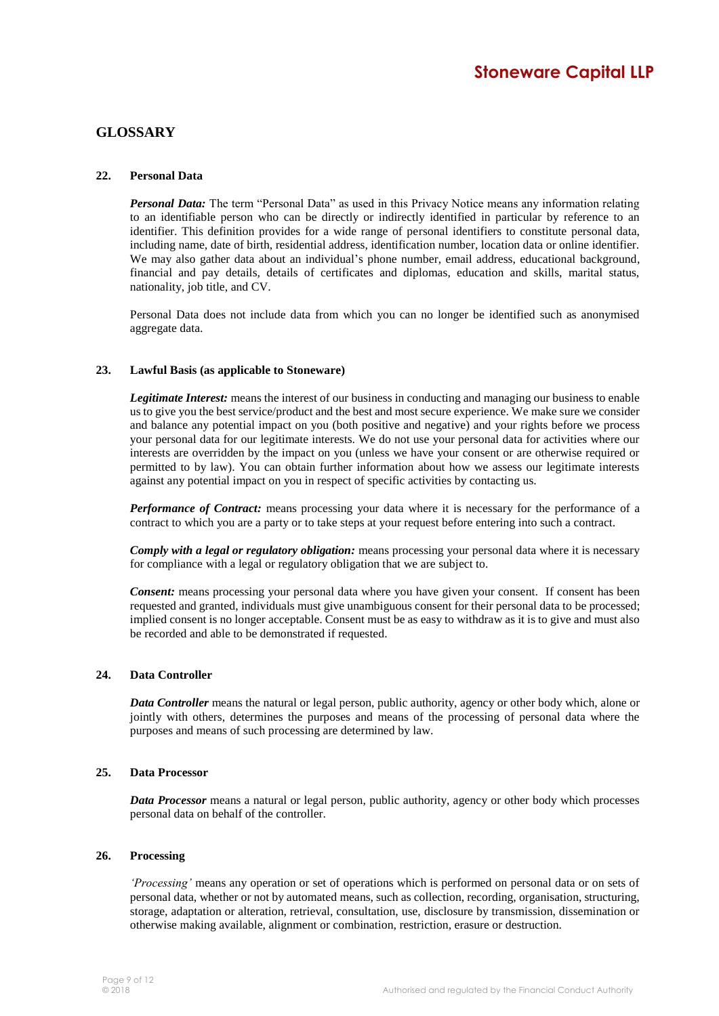# **GLOSSARY**

# **22. Personal Data**

*Personal Data:* The term "Personal Data" as used in this Privacy Notice means any information relating to an identifiable person who can be directly or indirectly identified in particular by reference to an identifier. This definition provides for a wide range of personal identifiers to constitute personal data, including name, date of birth, residential address, identification number, location data or online identifier. We may also gather data about an individual's phone number, email address, educational background, financial and pay details, details of certificates and diplomas, education and skills, marital status, nationality, job title, and CV.

Personal Data does not include data from which you can no longer be identified such as anonymised aggregate data.

# **23. Lawful Basis (as applicable to Stoneware)**

*Legitimate Interest:* means the interest of our business in conducting and managing our business to enable us to give you the best service/product and the best and most secure experience. We make sure we consider and balance any potential impact on you (both positive and negative) and your rights before we process your personal data for our legitimate interests. We do not use your personal data for activities where our interests are overridden by the impact on you (unless we have your consent or are otherwise required or permitted to by law). You can obtain further information about how we assess our legitimate interests against any potential impact on you in respect of specific activities by contacting us.

*Performance of Contract:* means processing your data where it is necessary for the performance of a contract to which you are a party or to take steps at your request before entering into such a contract.

*Comply with a legal or regulatory obligation:* means processing your personal data where it is necessary for compliance with a legal or regulatory obligation that we are subject to.

*Consent:* means processing your personal data where you have given your consent. If consent has been requested and granted, individuals must give unambiguous consent for their personal data to be processed; implied consent is no longer acceptable. Consent must be as easy to withdraw as it is to give and must also be recorded and able to be demonstrated if requested.

# **24. Data Controller**

*Data Controller* means the natural or legal person, public authority, agency or other body which, alone or jointly with others, determines the purposes and means of the processing of personal data where the purposes and means of such processing are determined by law.

# **25. Data Processor**

*Data Processor* means a natural or legal person, public authority, agency or other body which processes personal data on behalf of the controller.

#### **26. Processing**

*'Processing'* means any operation or set of operations which is performed on personal data or on sets of personal data, whether or not by automated means, such as collection, recording, organisation, structuring, storage, adaptation or alteration, retrieval, consultation, use, disclosure by transmission, dissemination or otherwise making available, alignment or combination, restriction, erasure or destruction.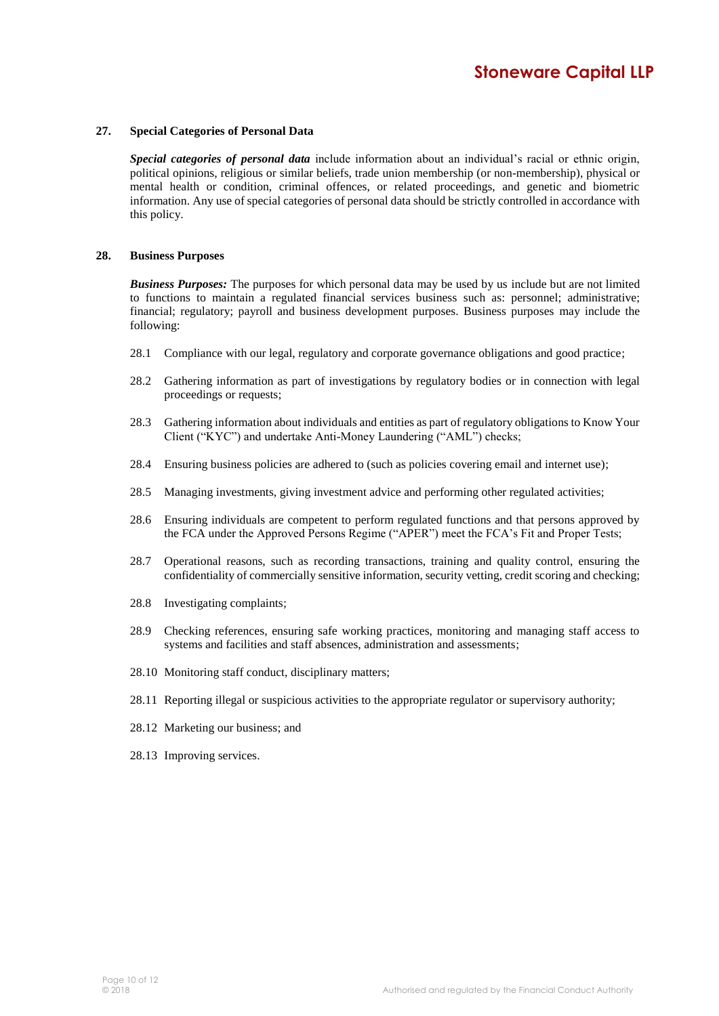#### **27. Special Categories of Personal Data**

*Special categories of personal data* include information about an individual's racial or ethnic origin, political opinions, religious or similar beliefs, trade union membership (or non-membership), physical or mental health or condition, criminal offences, or related proceedings, and genetic and biometric information. Any use of special categories of personal data should be strictly controlled in accordance with this policy.

#### **28. Business Purposes**

*Business Purposes:* The purposes for which personal data may be used by us include but are not limited to functions to maintain a regulated financial services business such as: personnel; administrative; financial; regulatory; payroll and business development purposes. Business purposes may include the following:

- 28.1 Compliance with our legal, regulatory and corporate governance obligations and good practice;
- 28.2 Gathering information as part of investigations by regulatory bodies or in connection with legal proceedings or requests;
- 28.3 Gathering information about individuals and entities as part of regulatory obligations to Know Your Client ("KYC") and undertake Anti-Money Laundering ("AML") checks;
- 28.4 Ensuring business policies are adhered to (such as policies covering email and internet use);
- 28.5 Managing investments, giving investment advice and performing other regulated activities;
- 28.6 Ensuring individuals are competent to perform regulated functions and that persons approved by the FCA under the Approved Persons Regime ("APER") meet the FCA's Fit and Proper Tests;
- 28.7 Operational reasons, such as recording transactions, training and quality control, ensuring the confidentiality of commercially sensitive information, security vetting, credit scoring and checking;
- 28.8 Investigating complaints;
- 28.9 Checking references, ensuring safe working practices, monitoring and managing staff access to systems and facilities and staff absences, administration and assessments;
- 28.10 Monitoring staff conduct, disciplinary matters;
- 28.11 Reporting illegal or suspicious activities to the appropriate regulator or supervisory authority;
- 28.12 Marketing our business; and
- 28.13 Improving services.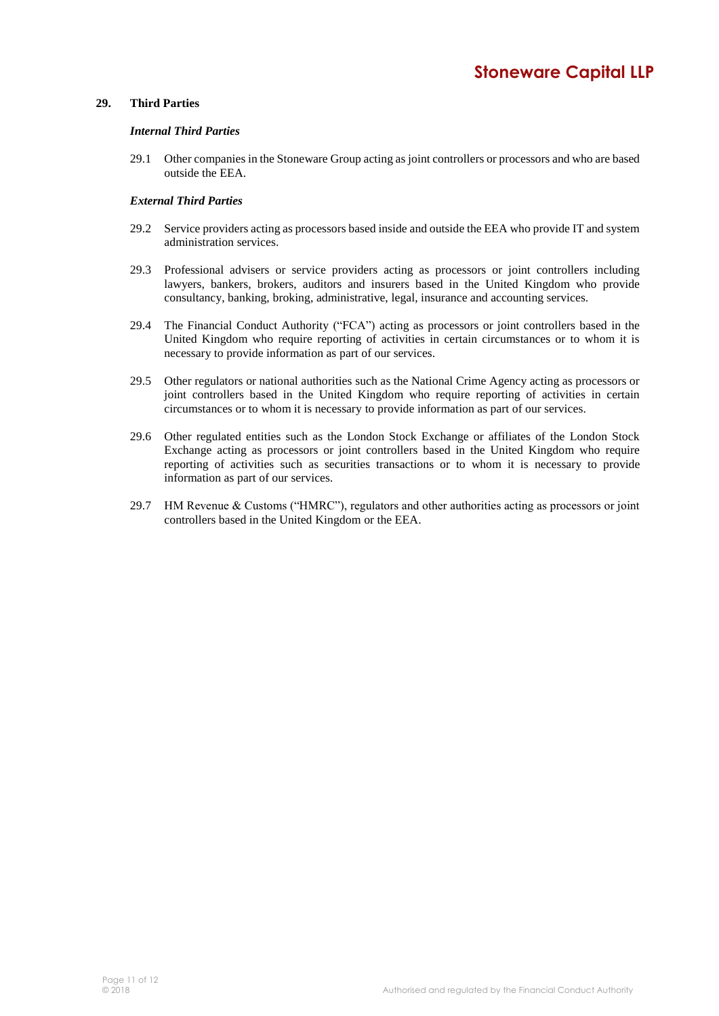# **29. Third Parties**

#### *Internal Third Parties*

29.1 Other companies in the Stoneware Group acting as joint controllers or processors and who are based outside the EEA.

# *External Third Parties*

- 29.2 Service providers acting as processors based inside and outside the EEA who provide IT and system administration services.
- 29.3 Professional advisers or service providers acting as processors or joint controllers including lawyers, bankers, brokers, auditors and insurers based in the United Kingdom who provide consultancy, banking, broking, administrative, legal, insurance and accounting services.
- 29.4 The Financial Conduct Authority ("FCA") acting as processors or joint controllers based in the United Kingdom who require reporting of activities in certain circumstances or to whom it is necessary to provide information as part of our services.
- 29.5 Other regulators or national authorities such as the National Crime Agency acting as processors or joint controllers based in the United Kingdom who require reporting of activities in certain circumstances or to whom it is necessary to provide information as part of our services.
- 29.6 Other regulated entities such as the London Stock Exchange or affiliates of the London Stock Exchange acting as processors or joint controllers based in the United Kingdom who require reporting of activities such as securities transactions or to whom it is necessary to provide information as part of our services.
- 29.7 HM Revenue & Customs ("HMRC"), regulators and other authorities acting as processors or joint controllers based in the United Kingdom or the EEA.